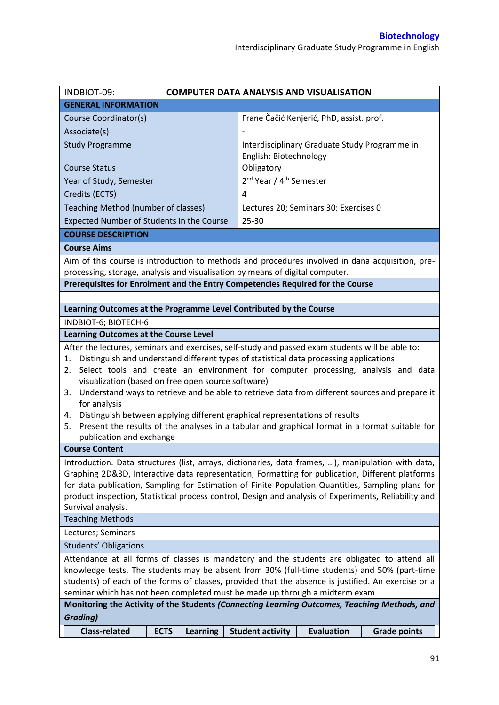| INDBIOT-09:<br><b>COMPUTER DATA ANALYSIS AND VISUALISATION</b>                                                                                                                                                                                                                                                                                                                                                                                                                                                                                                                                                                                                                               |             |                 |                         |                                                                         |                     |  |
|----------------------------------------------------------------------------------------------------------------------------------------------------------------------------------------------------------------------------------------------------------------------------------------------------------------------------------------------------------------------------------------------------------------------------------------------------------------------------------------------------------------------------------------------------------------------------------------------------------------------------------------------------------------------------------------------|-------------|-----------------|-------------------------|-------------------------------------------------------------------------|---------------------|--|
| <b>GENERAL INFORMATION</b>                                                                                                                                                                                                                                                                                                                                                                                                                                                                                                                                                                                                                                                                   |             |                 |                         |                                                                         |                     |  |
| Course Coordinator(s)                                                                                                                                                                                                                                                                                                                                                                                                                                                                                                                                                                                                                                                                        |             |                 |                         | Frane Čačić Kenjerić, PhD, assist. prof.                                |                     |  |
| Associate(s)                                                                                                                                                                                                                                                                                                                                                                                                                                                                                                                                                                                                                                                                                 |             |                 |                         |                                                                         |                     |  |
| <b>Study Programme</b>                                                                                                                                                                                                                                                                                                                                                                                                                                                                                                                                                                                                                                                                       |             |                 |                         | Interdisciplinary Graduate Study Programme in<br>English: Biotechnology |                     |  |
| <b>Course Status</b>                                                                                                                                                                                                                                                                                                                                                                                                                                                                                                                                                                                                                                                                         |             |                 | Obligatory              |                                                                         |                     |  |
| Year of Study, Semester                                                                                                                                                                                                                                                                                                                                                                                                                                                                                                                                                                                                                                                                      |             |                 |                         | 2 <sup>nd</sup> Year / 4 <sup>th</sup> Semester                         |                     |  |
| Credits (ECTS)                                                                                                                                                                                                                                                                                                                                                                                                                                                                                                                                                                                                                                                                               |             |                 | 4                       |                                                                         |                     |  |
| Teaching Method (number of classes)                                                                                                                                                                                                                                                                                                                                                                                                                                                                                                                                                                                                                                                          |             |                 |                         | Lectures 20; Seminars 30; Exercises 0                                   |                     |  |
| Expected Number of Students in the Course                                                                                                                                                                                                                                                                                                                                                                                                                                                                                                                                                                                                                                                    |             |                 | 25-30                   |                                                                         |                     |  |
| <b>COURSE DESCRIPTION</b>                                                                                                                                                                                                                                                                                                                                                                                                                                                                                                                                                                                                                                                                    |             |                 |                         |                                                                         |                     |  |
| <b>Course Aims</b>                                                                                                                                                                                                                                                                                                                                                                                                                                                                                                                                                                                                                                                                           |             |                 |                         |                                                                         |                     |  |
| Aim of this course is introduction to methods and procedures involved in dana acquisition, pre-<br>processing, storage, analysis and visualisation by means of digital computer.<br>Prerequisites for Enrolment and the Entry Competencies Required for the Course                                                                                                                                                                                                                                                                                                                                                                                                                           |             |                 |                         |                                                                         |                     |  |
|                                                                                                                                                                                                                                                                                                                                                                                                                                                                                                                                                                                                                                                                                              |             |                 |                         |                                                                         |                     |  |
| Learning Outcomes at the Programme Level Contributed by the Course                                                                                                                                                                                                                                                                                                                                                                                                                                                                                                                                                                                                                           |             |                 |                         |                                                                         |                     |  |
| INDBIOT-6; BIOTECH-6                                                                                                                                                                                                                                                                                                                                                                                                                                                                                                                                                                                                                                                                         |             |                 |                         |                                                                         |                     |  |
| <b>Learning Outcomes at the Course Level</b>                                                                                                                                                                                                                                                                                                                                                                                                                                                                                                                                                                                                                                                 |             |                 |                         |                                                                         |                     |  |
| After the lectures, seminars and exercises, self-study and passed exam students will be able to:<br>Distinguish and understand different types of statistical data processing applications<br>1.<br>Select tools and create an environment for computer processing, analysis and data<br>2.<br>visualization (based on free open source software)<br>3. Understand ways to retrieve and be able to retrieve data from different sources and prepare it<br>for analysis<br>4. Distinguish between applying different graphical representations of results<br>Present the results of the analyses in a tabular and graphical format in a format suitable for<br>5.<br>publication and exchange |             |                 |                         |                                                                         |                     |  |
| <b>Course Content</b>                                                                                                                                                                                                                                                                                                                                                                                                                                                                                                                                                                                                                                                                        |             |                 |                         |                                                                         |                     |  |
| Introduction. Data structures (list, arrays, dictionaries, data frames, ), manipulation with data,<br>Graphing 2D&3D, Interactive data representation, Formatting for publication, Different platforms<br>for data publication, Sampling for Estimation of Finite Population Quantities, Sampling plans for<br>product inspection, Statistical process control, Design and analysis of Experiments, Reliability and<br>Survival analysis.                                                                                                                                                                                                                                                    |             |                 |                         |                                                                         |                     |  |
| <b>Teaching Methods</b>                                                                                                                                                                                                                                                                                                                                                                                                                                                                                                                                                                                                                                                                      |             |                 |                         |                                                                         |                     |  |
| Lectures; Seminars                                                                                                                                                                                                                                                                                                                                                                                                                                                                                                                                                                                                                                                                           |             |                 |                         |                                                                         |                     |  |
| <b>Students' Obligations</b>                                                                                                                                                                                                                                                                                                                                                                                                                                                                                                                                                                                                                                                                 |             |                 |                         |                                                                         |                     |  |
| Attendance at all forms of classes is mandatory and the students are obligated to attend all<br>knowledge tests. The students may be absent from 30% (full-time students) and 50% (part-time<br>students) of each of the forms of classes, provided that the absence is justified. An exercise or a<br>seminar which has not been completed must be made up through a midterm exam.<br>Monitoring the Activity of the Students (Connecting Learning Outcomes, Teaching Methods, and                                                                                                                                                                                                          |             |                 |                         |                                                                         |                     |  |
| <b>Grading)</b>                                                                                                                                                                                                                                                                                                                                                                                                                                                                                                                                                                                                                                                                              |             |                 |                         |                                                                         |                     |  |
| <b>Class-related</b>                                                                                                                                                                                                                                                                                                                                                                                                                                                                                                                                                                                                                                                                         | <b>ECTS</b> | <b>Learning</b> | <b>Student activity</b> | <b>Evaluation</b>                                                       | <b>Grade points</b> |  |